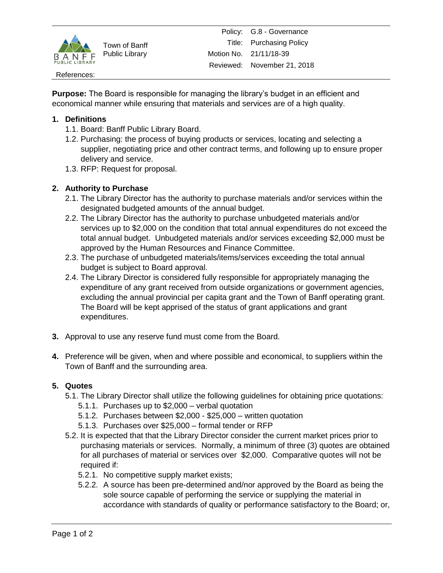

Town of Banff Public Library

#### References:

**Purpose:** The Board is responsible for managing the library's budget in an efficient and economical manner while ensuring that materials and services are of a high quality.

## **1. Definitions**

- 1.1. Board: Banff Public Library Board.
- 1.2. Purchasing: the process of buying products or services, locating and selecting a supplier, negotiating price and other contract terms, and following up to ensure proper delivery and service.
- 1.3. RFP: Request for proposal.

## **2. Authority to Purchase**

- 2.1. The Library Director has the authority to purchase materials and/or services within the designated budgeted amounts of the annual budget.
- 2.2. The Library Director has the authority to purchase unbudgeted materials and/or services up to \$2,000 on the condition that total annual expenditures do not exceed the total annual budget. Unbudgeted materials and/or services exceeding \$2,000 must be approved by the Human Resources and Finance Committee.
- 2.3. The purchase of unbudgeted materials/items/services exceeding the total annual budget is subject to Board approval.
- 2.4. The Library Director is considered fully responsible for appropriately managing the expenditure of any grant received from outside organizations or government agencies, excluding the annual provincial per capita grant and the Town of Banff operating grant. The Board will be kept apprised of the status of grant applications and grant expenditures.
- **3.** Approval to use any reserve fund must come from the Board.
- **4.** Preference will be given, when and where possible and economical, to suppliers within the Town of Banff and the surrounding area.

## **5. Quotes**

- 5.1. The Library Director shall utilize the following guidelines for obtaining price quotations:
	- 5.1.1. Purchases up to \$2,000 verbal quotation
	- 5.1.2. Purchases between \$2,000 \$25,000 written quotation
	- 5.1.3. Purchases over \$25,000 formal tender or RFP
- 5.2. It is expected that that the Library Director consider the current market prices prior to purchasing materials or services. Normally, a minimum of three (3) quotes are obtained for all purchases of material or services over \$2,000. Comparative quotes will not be required if:
	- 5.2.1. No competitive supply market exists;
	- 5.2.2. A source has been pre-determined and/nor approved by the Board as being the sole source capable of performing the service or supplying the material in accordance with standards of quality or performance satisfactory to the Board; or,